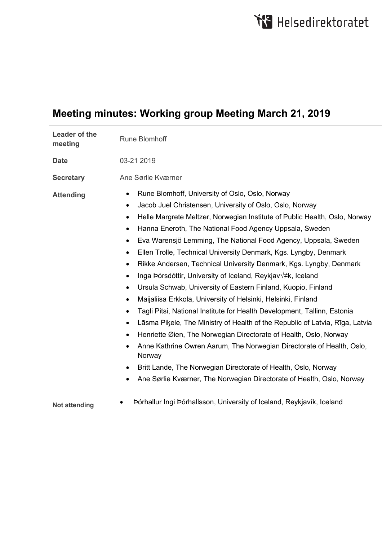# **Meeting minutes: Working group Meeting March 21, 2019**

| <b>Leader of the</b><br>meeting | <b>Rune Blomhoff</b>                                                                                                                                                                                                                                                                                                                                                                                                                                                                                                                                                                                                                                                                                                                                                                                                                                                                                                                                                                                                                                                                                                                                                                               |
|---------------------------------|----------------------------------------------------------------------------------------------------------------------------------------------------------------------------------------------------------------------------------------------------------------------------------------------------------------------------------------------------------------------------------------------------------------------------------------------------------------------------------------------------------------------------------------------------------------------------------------------------------------------------------------------------------------------------------------------------------------------------------------------------------------------------------------------------------------------------------------------------------------------------------------------------------------------------------------------------------------------------------------------------------------------------------------------------------------------------------------------------------------------------------------------------------------------------------------------------|
| <b>Date</b>                     | 03-21 2019                                                                                                                                                                                                                                                                                                                                                                                                                                                                                                                                                                                                                                                                                                                                                                                                                                                                                                                                                                                                                                                                                                                                                                                         |
| <b>Secretary</b>                | Ane Sørlie Kværner                                                                                                                                                                                                                                                                                                                                                                                                                                                                                                                                                                                                                                                                                                                                                                                                                                                                                                                                                                                                                                                                                                                                                                                 |
| <b>Attending</b>                | Rune Blomhoff, University of Oslo, Oslo, Norway<br>$\bullet$<br>Jacob Juel Christensen, University of Oslo, Oslo, Norway<br>$\bullet$<br>Helle Margrete Meltzer, Norwegian Institute of Public Health, Oslo, Norway<br>$\bullet$<br>Hanna Eneroth, The National Food Agency Uppsala, Sweden<br>Eva Warensjö Lemming, The National Food Agency, Uppsala, Sweden<br>Ellen Trolle, Technical University Denmark, Kgs. Lyngby, Denmark<br>Rikke Andersen, Technical University Denmark, Kgs. Lyngby, Denmark<br>Inga Þórsdóttir, University of Iceland, Reykjav√≠k, Iceland<br>$\bullet$<br>Ursula Schwab, University of Eastern Finland, Kuopio, Finland<br>$\bullet$<br>Maijaliisa Erkkola, University of Helsinki, Helsinki, Finland<br>Tagli Pitsi, National Institute for Health Development, Tallinn, Estonia<br>Lāsma Piķele, The Ministry of Health of the Republic of Latvia, Rīga, Latvia<br>Henriette Øien, The Norwegian Directorate of Health, Oslo, Norway<br>Anne Kathrine Owren Aarum, The Norwegian Directorate of Health, Oslo,<br>Norway<br>Britt Lande, The Norwegian Directorate of Health, Oslo, Norway<br>Ane Sørlie Kværner, The Norwegian Directorate of Health, Oslo, Norway |
| <b>Not attending</b>            | Þórhallur Ingi Þórhallsson, University of Iceland, Reykjavík, Iceland                                                                                                                                                                                                                                                                                                                                                                                                                                                                                                                                                                                                                                                                                                                                                                                                                                                                                                                                                                                                                                                                                                                              |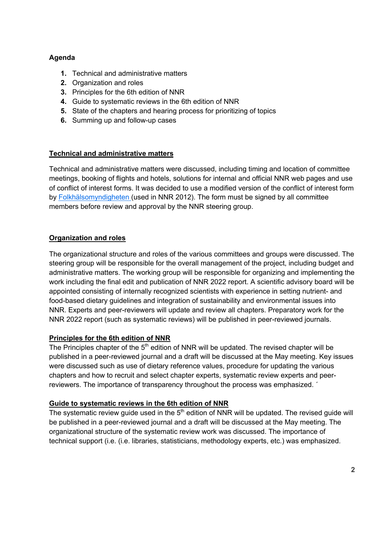## **Agenda**

- **1.** Technical and administrative matters
- **2.** Organization and roles
- **3.** Principles for the 6th edition of NNR
- **4.** Guide to systematic reviews in the 6th edition of NNR
- **5.** State of the chapters and hearing process for prioritizing of topics
- **6.** Summing up and follow-up cases

## **Technical and administrative matters**

Technical and administrative matters were discussed, including timing and location of committee meetings, booking of flights and hotels, solutions for internal and official NNR web pages and use of conflict of interest forms. It was decided to use a modified version of the conflict of interest form by Folkhälsomyndigheten (used in NNR 2012). The form must be signed by all committee members before review and approval by the NNR steering group.

### **Organization and roles**

The organizational structure and roles of the various committees and groups were discussed. The steering group will be responsible for the overall management of the project, including budget and administrative matters. The working group will be responsible for organizing and implementing the work including the final edit and publication of NNR 2022 report. A scientific advisory board will be appointed consisting of internally recognized scientists with experience in setting nutrient- and food-based dietary guidelines and integration of sustainability and environmental issues into NNR. Experts and peer-reviewers will update and review all chapters. Preparatory work for the NNR 2022 report (such as systematic reviews) will be published in peer-reviewed journals.

#### **Principles for the 6th edition of NNR**

The Principles chapter of the  $5<sup>th</sup>$  edition of NNR will be updated. The revised chapter will be published in a peer-reviewed journal and a draft will be discussed at the May meeting. Key issues were discussed such as use of dietary reference values, procedure for updating the various chapters and how to recruit and select chapter experts, systematic review experts and peerreviewers. The importance of transparency throughout the process was emphasized. ´

#### **Guide to systematic reviews in the 6th edition of NNR**

The systematic review quide used in the  $5<sup>th</sup>$  edition of NNR will be updated. The revised quide will be published in a peer-reviewed journal and a draft will be discussed at the May meeting. The organizational structure of the systematic review work was discussed. The importance of technical support (i.e. (i.e. libraries, statisticians, methodology experts, etc.) was emphasized.